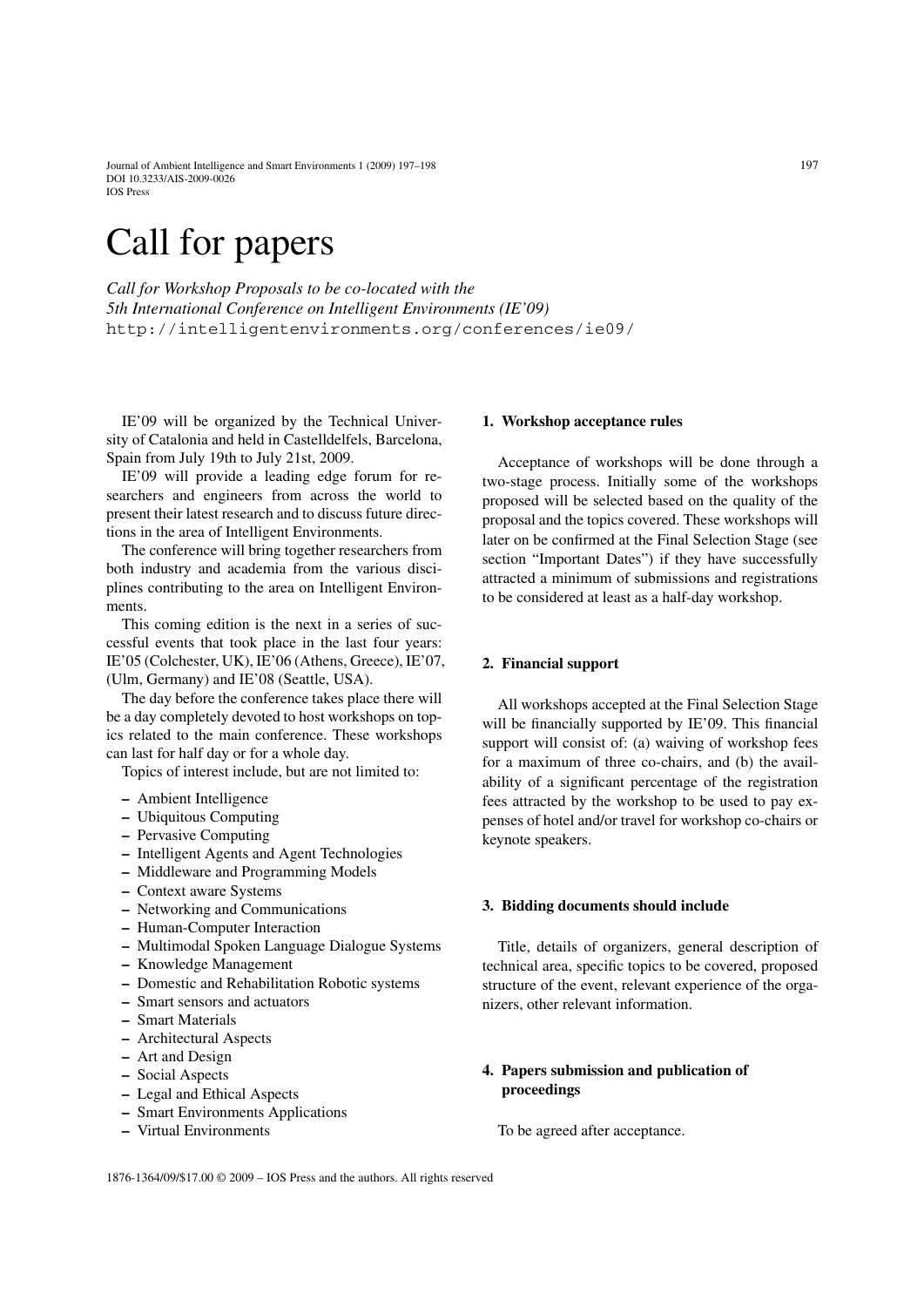Journal of Ambient Intelligence and Smart Environments 1 (2009) 197–198 DOI 10.3233/AIS-2009-0026 IOS Press

# Call for papers

*Call for Workshop Proposals to be co-located with the 5th International Conference on Intelligent Environments (IE'09)* http://intelligentenvironments.org/conferences/ie09/

IE'09 will be organized by the Technical University of Catalonia and held in Castelldelfels, Barcelona, Spain from July 19th to July 21st, 2009.

IE'09 will provide a leading edge forum for researchers and engineers from across the world to present their latest research and to discuss future directions in the area of Intelligent Environments.

The conference will bring together researchers from both industry and academia from the various disciplines contributing to the area on Intelligent Environments.

This coming edition is the next in a series of successful events that took place in the last four years: IE'05 (Colchester, UK), IE'06 (Athens, Greece), IE'07, (Ulm, Germany) and IE'08 (Seattle, USA).

The day before the conference takes place there will be a day completely devoted to host workshops on topics related to the main conference. These workshops can last for half day or for a whole day.

Topics of interest include, but are not limited to:

- **–** Ambient Intelligence
- **–** Ubiquitous Computing
- **–** Pervasive Computing
- **–** Intelligent Agents and Agent Technologies
- **–** Middleware and Programming Models
- **–** Context aware Systems
- **–** Networking and Communications
- **–** Human-Computer Interaction
- **–** Multimodal Spoken Language Dialogue Systems
- **–** Knowledge Management
- **–** Domestic and Rehabilitation Robotic systems
- **–** Smart sensors and actuators
- **–** Smart Materials
- **–** Architectural Aspects
- **–** Art and Design
- **–** Social Aspects
- **–** Legal and Ethical Aspects
- **–** Smart Environments Applications
- **–** Virtual Environments

### **1. Workshop acceptance rules**

Acceptance of workshops will be done through a two-stage process. Initially some of the workshops proposed will be selected based on the quality of the proposal and the topics covered. These workshops will later on be confirmed at the Final Selection Stage (see section "Important Dates") if they have successfully attracted a minimum of submissions and registrations to be considered at least as a half-day workshop.

# **2. Financial support**

All workshops accepted at the Final Selection Stage will be financially supported by IE'09. This financial support will consist of: (a) waiving of workshop fees for a maximum of three co-chairs, and (b) the availability of a significant percentage of the registration fees attracted by the workshop to be used to pay expenses of hotel and/or travel for workshop co-chairs or keynote speakers.

## **3. Bidding documents should include**

Title, details of organizers, general description of technical area, specific topics to be covered, proposed structure of the event, relevant experience of the organizers, other relevant information.

# **4. Papers submission and publication of proceedings**

To be agreed after acceptance.

1876-1364/09/\$17.00 © 2009 – IOS Press and the authors. All rights reserved